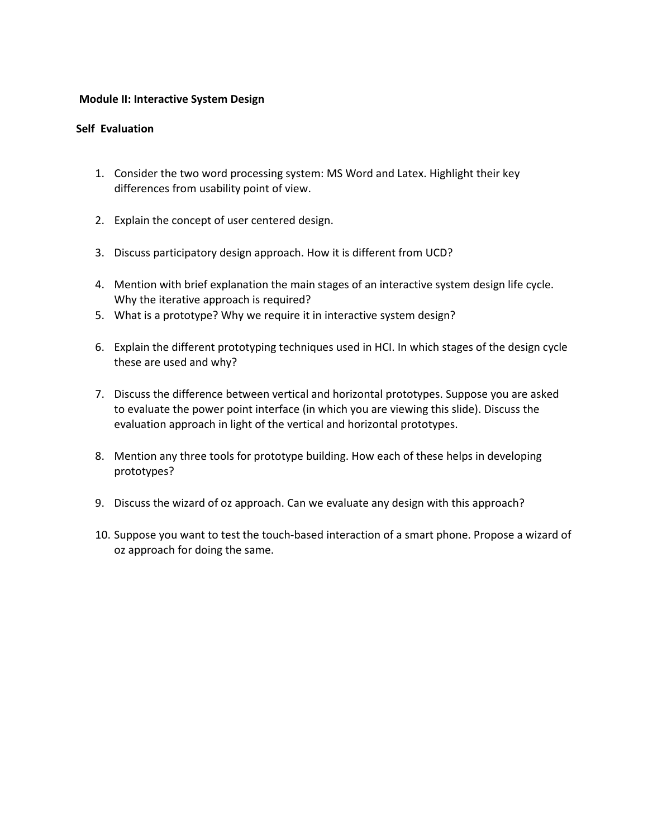## **Module II: Interactive System Design**

## **Self Evaluation**

- 1. Consider the two word processing system: MS Word and Latex. Highlight their key differences from usability point of view.
- 2. Explain the concept of user centered design.
- 3. Discuss participatory design approach. How it is different from UCD?
- 4. Mention with brief explanation the main stages of an interactive system design life cycle. Why the iterative approach is required?
- 5. What is a prototype? Why we require it in interactive system design?
- 6. Explain the different prototyping techniques used in HCI. In which stages of the design cycle these are used and why?
- 7. Discuss the difference between vertical and horizontal prototypes. Suppose you are asked to evaluate the power point interface (in which you are viewing this slide). Discuss the evaluation approach in light of the vertical and horizontal prototypes.
- 8. Mention any three tools for prototype building. How each of these helps in developing prototypes?
- 9. Discuss the wizard of oz approach. Can we evaluate any design with this approach?
- 10. Suppose you want to test the touch-based interaction of a smart phone. Propose a wizard of oz approach for doing the same.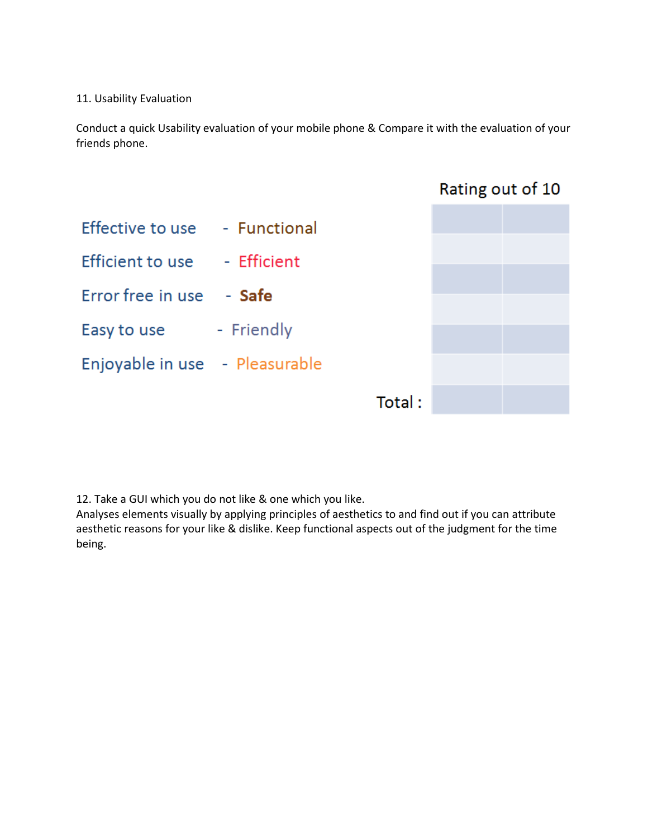## 11. Usability Evaluation

Conduct a quick Usability evaluation of your mobile phone & Compare it with the evaluation of your friends phone.



12. Take a GUI which you do not like & one which you like.

Analyses elements visually by applying principles of aesthetics to and find out if you can attribute aesthetic reasons for your like & dislike. Keep functional aspects out of the judgment for the time being.